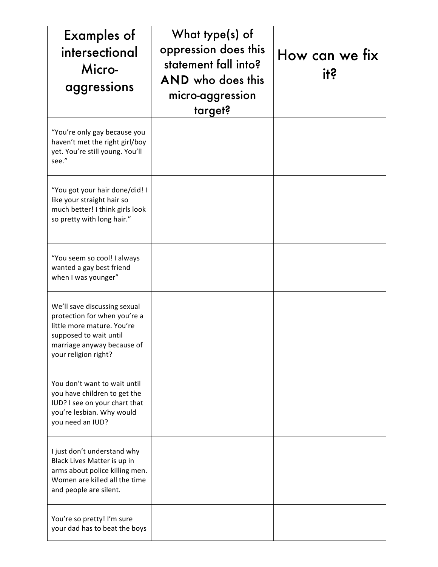| <b>Examples of</b><br>intersectional<br>Micro-<br>aggressions                                                                                                              | What type(s) of<br>oppression does this<br>statement fall into?<br><b>AND</b> who does this<br>micro-aggression<br>target? | How can we fix<br><u>its</u> |
|----------------------------------------------------------------------------------------------------------------------------------------------------------------------------|----------------------------------------------------------------------------------------------------------------------------|------------------------------|
| "You're only gay because you<br>haven't met the right girl/boy<br>yet. You're still young. You'll<br>see."                                                                 |                                                                                                                            |                              |
| "You got your hair done/did! I<br>like your straight hair so<br>much better! I think girls look<br>so pretty with long hair."                                              |                                                                                                                            |                              |
| "You seem so cool! I always<br>wanted a gay best friend<br>when I was younger"                                                                                             |                                                                                                                            |                              |
| We'll save discussing sexual<br>protection for when you're a<br>little more mature. You're<br>supposed to wait until<br>marriage anyway because of<br>your religion right? |                                                                                                                            |                              |
| You don't want to wait until<br>you have children to get the<br>IUD? I see on your chart that<br>you're lesbian. Why would<br>you need an IUD?                             |                                                                                                                            |                              |
| I just don't understand why<br>Black Lives Matter is up in<br>arms about police killing men.<br>Women are killed all the time<br>and people are silent.                    |                                                                                                                            |                              |
| You're so pretty! I'm sure<br>your dad has to beat the boys                                                                                                                |                                                                                                                            |                              |